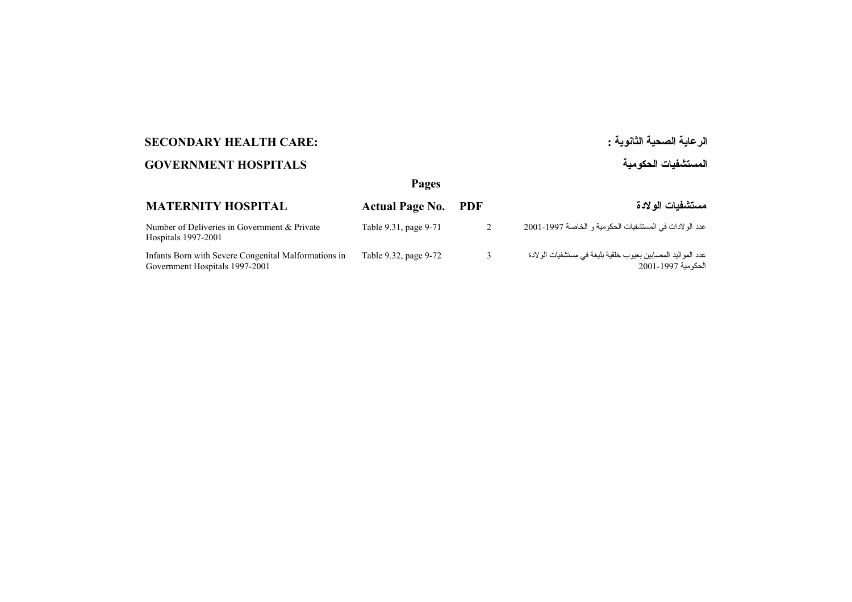# **الرعاية الصحية الثانوية : :CARE HEALTH SECONDARY**

# **المستشفيات الحكومية HOSPITALS GOVERNMENT**

## **Pages**

| <b>MATERNITY HOSPITAL</b>                                                              | <b>Actual Page No. PDF</b> |   | مستشفيات الو لادة                                                                  |
|----------------------------------------------------------------------------------------|----------------------------|---|------------------------------------------------------------------------------------|
| Number of Deliveries in Government & Private<br>Hospitals 1997-2001                    | Table 9.31, page 9-71      | 2 | عدد الولادات في المستشفيات الحكومية و الخاصة 1997-2001                             |
| Infants Born with Severe Congenital Malformations in<br>Government Hospitals 1997-2001 | Table 9.32, page 9-72      |   | عدد المو اليد المصابين بعيوب خلقية بليغة في مستشفيات الولادة<br>الحكومية 1997-2001 |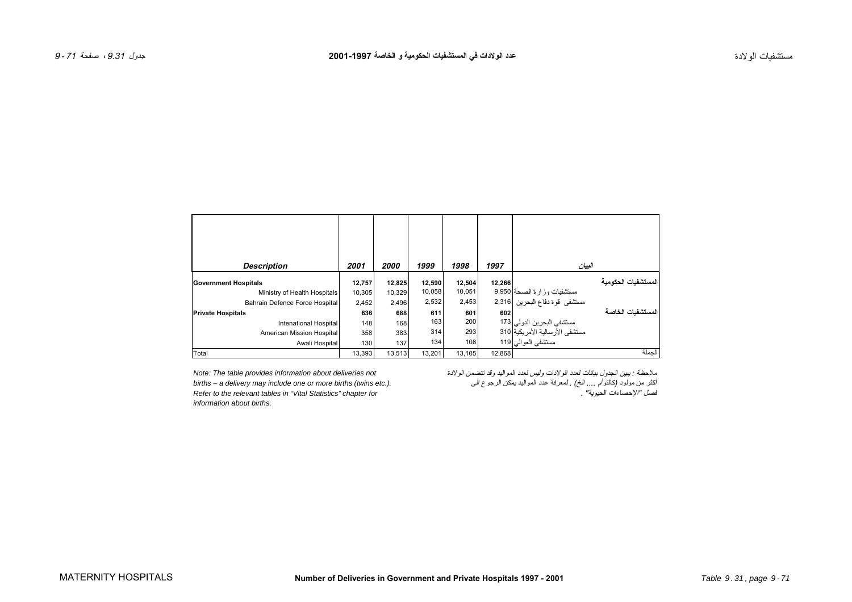<span id="page-1-0"></span>

| <b>Description</b>             | 2001   | 2000   | 1999   | 1998   | 1997   | البيان                                                      |        |
|--------------------------------|--------|--------|--------|--------|--------|-------------------------------------------------------------|--------|
| <b>Government Hospitals</b>    | 12,757 | 12,825 | 12,590 | 12,504 | 12,266 | المستشفيات الحكو مية                                        |        |
| Ministry of Health Hospitals   | 10,305 | 10,329 | 10,058 | 10,051 |        |                                                             |        |
| Bahrain Defence Force Hospital | 2,452  | 2,496  | 2,532  | 2,453  |        | مستشفيات وزارة الصحة 9,950<br>مستشفى قوة دفاع البحرين 2,316 |        |
| <b>Private Hospitals</b>       | 636    | 688    | 611    | 601    | 602    | المستشفيات الخاصة                                           |        |
| Intenational Hospital          | 148    | 168    | 163    | 200    |        | مستشفى البحرين الدولي 173<br>مستشفى الأرسالية الأمريكية 310 |        |
| American Mission Hospital      | 358    | 383    | 314    | 293    |        |                                                             |        |
| Awali Hospital                 | 130    | 137    | 134    | 108    |        | مستشفى العوالى 119                                          |        |
| Total                          | 13.393 | 13.513 | 13.201 | 13.105 | 12.868 |                                                             | الحملة |

*information about births.*

ملاحظة : يبين الجدول بيانات لعدد الولادات وليس لعدد المواليد وقد تتضمن الولادة *not deliveries about information provides table The :Note* أآثر من مولود (آالتوأم .... الخ) . لمعرفة عدد المواليد يمكن الرجوع الى *.(.etc twins (births more or one include may delivery a – births Refer to the relevant tables in "Vital Statistics" chapter for* . "الحيوية الإحصاءات "فصل